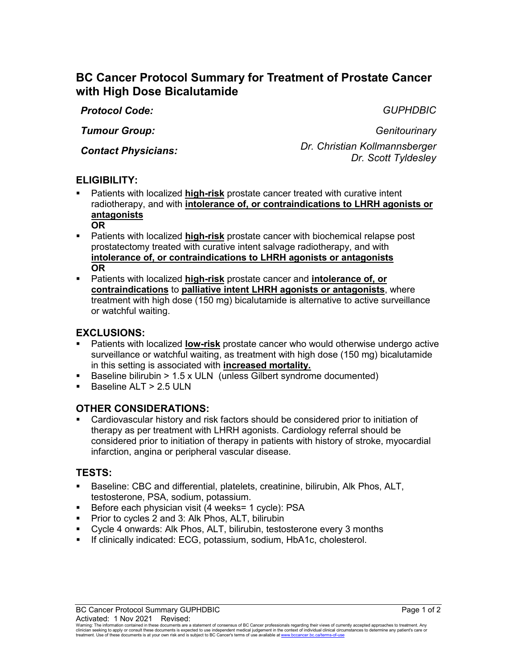# **BC Cancer Protocol Summary for Treatment of Prostate Cancer with High Dose Bicalutamide**

*Protocol Code: GUPHDBIC*

*Tumour Group: Genitourinary*

*Contact Physicians: Dr. Christian Kollmannsberger Dr. Scott Tyldesley*

# **ELIGIBILITY:**

- Patients with localized **high-risk** prostate cancer treated with curative intent radiotherapy, and with **intolerance of, or contraindications to LHRH agonists or antagonists OR**
- **Patients with localized high-risk** prostate cancer with biochemical relapse post prostatectomy treated with curative intent salvage radiotherapy, and with **intolerance of, or contraindications to LHRH agonists or antagonists OR**
- Patients with localized **high-risk** prostate cancer and **intolerance of, or contraindications** to **palliative intent LHRH agonists or antagonists**, where treatment with high dose (150 mg) bicalutamide is alternative to active surveillance or watchful waiting.

## **EXCLUSIONS:**

- Patients with localized **low-risk** prostate cancer who would otherwise undergo active surveillance or watchful waiting, as treatment with high dose (150 mg) bicalutamide in this setting is associated with **increased mortality.**
- Baseline bilirubin  $> 1.5 \times ULN$  (unless Gilbert syndrome documented)
- Baseline ALT >  $2.5$  ULN

# **OTHER CONSIDERATIONS:**

 Cardiovascular history and risk factors should be considered prior to initiation of therapy as per treatment with LHRH agonists. Cardiology referral should be considered prior to initiation of therapy in patients with history of stroke, myocardial infarction, angina or peripheral vascular disease.

### **TESTS:**

- Baseline: CBC and differential, platelets, creatinine, bilirubin, Alk Phos, ALT, testosterone, PSA, sodium, potassium.
- Before each physician visit (4 weeks= 1 cycle): PSA
- **Prior to cycles 2 and 3: Alk Phos, ALT, bilirubin**
- Cycle 4 onwards: Alk Phos, ALT, bilirubin, testosterone every 3 months
- **If clinically indicated: ECG, potassium, sodium, HbA1c, cholesterol.**

Warning: The information contained in these documents are a statement of consensus of BC Cancer professionals regarding their views of currently accepted approaches to treatment. Any<br>clinician seeking to apply or consult t